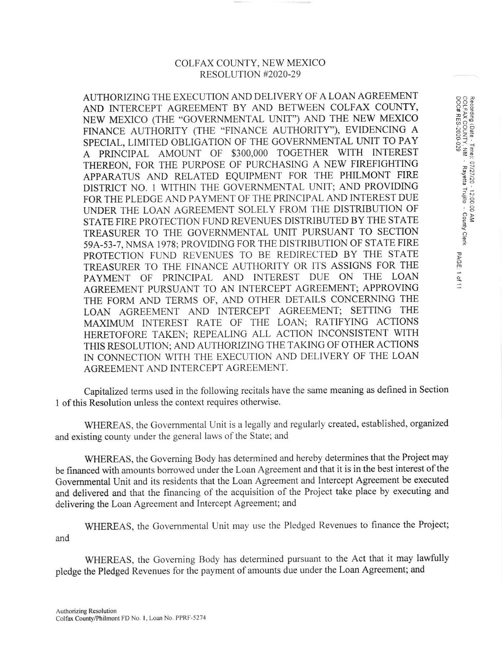## COLFAX COUNTY, NEW MEXICO RESOLUTION #2020-29

 $\frac{5}{2}$  o  $\frac{5}{2}$  $\frac{1}{2}$ ue)

s-۱/الا<br>avetta

Propinsi<br>Mus  $\frac{1}{2}$ 

ີ<br>ຕຸ

AUTHORIZINC THE EXECUTION AND DELIVERY OF A LOAN AGREEMENT AND INTERCEPT AGREEMENT BY AND BETWEEN COLFAX COUNTY, NEW MEXICO (THE "GOVERNMENTAL LINIT") AND THE NEW MEXICO FINANCE AUTHORITY (THE "FINANCE AUTHORITY"), EVIDENCING A SPECIAL, LIMITED OBLIGATION OF THE GOVERNMENTAL UNIT TO PAY A PRINCIPAL AMOLINT OF \$3OO,OOO TOGETHER WITH INTEREST THEREON, FOR THE PURPOSE OF PURCHASING A NEW FIREFIGHTING APPARATUS AND RELATED EQUIPMENT FOR THE PHILMONT FIRE DISTRICT NO. I WITHIN THE GOVERNMENTAL UNIT; AND PROVIDING FOR THE PLEDGE AND PAYMENT OF THE PRINCIPAL AND INTEREST DUE LINDER THE LOAN AGREEMENT SOLELY FROMTHE DISTRIBUTION OF STATE FIRE PROTECTION FUND REVENUES DISTRIBUTED BY THE STATE TREASURER TO THE GOVERNMENTAL UNIT PURSUANT TO SECTION 59A-53-7, NMSA 1978: PROVIDING FOR THE DISTRIBUTION OF STATE FIRE PROTECTION FUND REVENUES TO BE REDIRECTED BY THE STATE TREASURER TO THE FINANCE AUTHORITY OR ITS ASSIGNS FOR THE PAYMENT OF PRINCIPAL AND INTEREST DUE ON THE LOAN AGREEMENT PURSUANT TO AN INTERCEPT ACREEMENT; APPROVING THE FORM AND TERMS OF, AND OTHER DETAILS CONCERNING THE LOAN AGREEMENT AND INTERCEPT AGREEMENT; SETTING THE MAXIMUM INTEREST RATE OF THE LOAN; RATIFYING ACTIONS HERETOFORE TAKEN; REPEALING ALL ACTION INCONSISTENT WITH THIS RESOLUTION; AND AUTHORIZING THE TAKING OF OTHER ACTIONS IN CONNECTION WITH THE EXECUTION AND DELIVERY OF THE LOAN AGREEMENT AND INTERCEPT AGREEMENT,

Capitalized terms used in the following recitals have the same meaning as defined in Section 1 of this Resolution unless the context requires otherwise.

WHEREAS, the Governmental Unit is a legally and regularly created, established, organized and existing county under the general laws of the State; and

WHEREAS, the Goveming Body has determined and hereby determines that the Project may be financed with amounts borrowed under the Loan Agreement and that it is in the best interest of the Govemmental Unit and its residents that the Loan Agreement and Intercept Agreement be executed and delivered and that the financing of the acquisition of the Project take place by executing and delivering the Loan Agreement and Intercept Agreement; and

WHEREAS, the Governmental Unit may use the Pledged Revenues to finance the Project; and

WHEREAS, the Governing Body has determined pursuant to the Act that it may lawfully pledge the Pledged Revenues for the payment of amounts due under the Loan Agreement; and